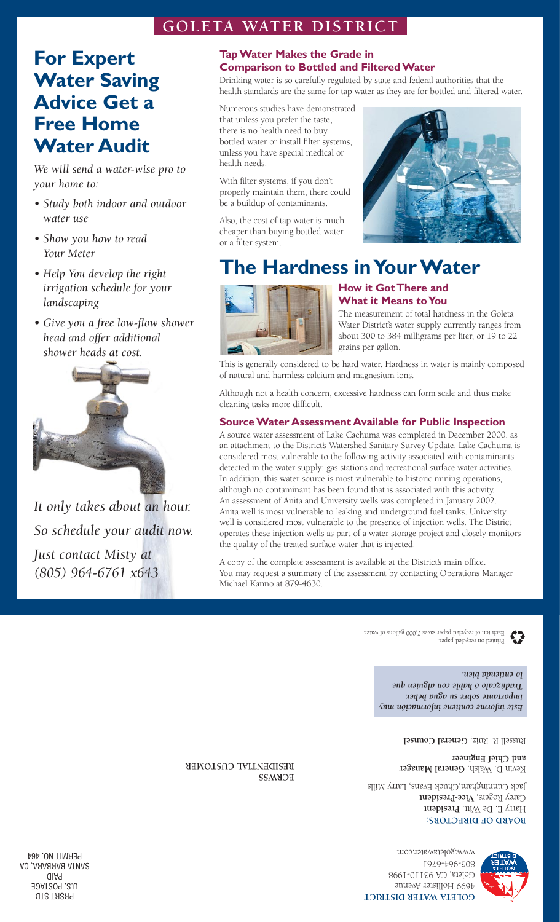## **GOLETA WATER DISTRICT**

# **For Expert Water Saving Advice Get a Free Home Water Audit**

*We will send a water-wise pro to your home to:*

- *• Study both indoor and outdoor water use*
- *• Show you how to read Your Meter*
- *• Help You develop the right irrigation schedule for your landscaping*
- *• Give you a free low-flow shower head and offer additional shower heads at cost.*



*It only takes about an hour. So schedule your audit now. Just contact Misty at (805) 964-6761 x643*

### **Tap Water Makes the Grade in Comparison to Bottled and Filtered Water**

Drinking water is so carefully regulated by state and federal authorities that the health standards are the same for tap water as they are for bottled and filtered water.

Numerous studies have demonstrated that unless you prefer the taste, there is no health need to buy bottled water or install filter systems, unless you have special medical or health needs.

With filter systems, if you don't properly maintain them, there could be a buildup of contaminants.

Also, the cost of tap water is much cheaper than buying bottled water or a filter system.



# **The Hardness in Your Water**



## **How it GotThere and What it Means toYou**

The measurement of total hardness in the Goleta Water District's water supply currently ranges from about 300 to 384 milligrams per liter, or 19 to 22 grains per gallon.

This is generally considered to be hard water. Hardness in water is mainly composed of natural and harmless calcium and magnesium ions.

Although not a health concern, excessive hardness can form scale and thus make cleaning tasks more difficult.

## **Source Water Assessment Available for Public Inspection**

A source water assessment of Lake Cachuma was completed in December 2000, as an attachment to the District's Watershed Sanitary Survey Update. Lake Cachuma is considered most vulnerable to the following activity associated with contaminants detected in the water supply: gas stations and recreational surface water activities. In addition, this water source is most vulnerable to historic mining operations, although no contaminant has been found that is associated with this activity. An assessment of Anita and University wells was completed in January 2002. Anita well is most vulnerable to leaking and underground fuel tanks. University well is considered most vulnerable to the presence of injection wells. The District operates these injection wells as part of a water storage project and closely monitors the quality of the treated surface water that is injected.

A copy of the complete assessment is available at the District's main office. You may request a summary of the assessment by contacting Operations Manager Michael Kanno at 879-4630.

> Printed on recycled paper. Each ton of recycled paper saves 7,000 gallons of water.

> > *Este informe contiene información muy importante sobre su agua beber. radúzcalo ó hable con alguien que T lo entienda bien.*

> > > Russell R. Ruiz, General Counsel

Kevin D. Walsh, **General Manager and Chief Engineer**

**BOARD OF DIRECTORS:** Harry E. De Witt, **President** Carey Rogers, Vice-President Jack Cunningham,Chuck Evans, Larry Mills

**ECRWSS RESIDENTIAL CUSTOMER**

> **GOLETA WATER DISTRICT** 4699 Hollister Avenue Goleta, CA 93110-1998 805-964-6761 www.goletawater.com

PRSRT STD U.S. POSTAGE AID P SANTA BARBARA, CA PERMIT NO. 464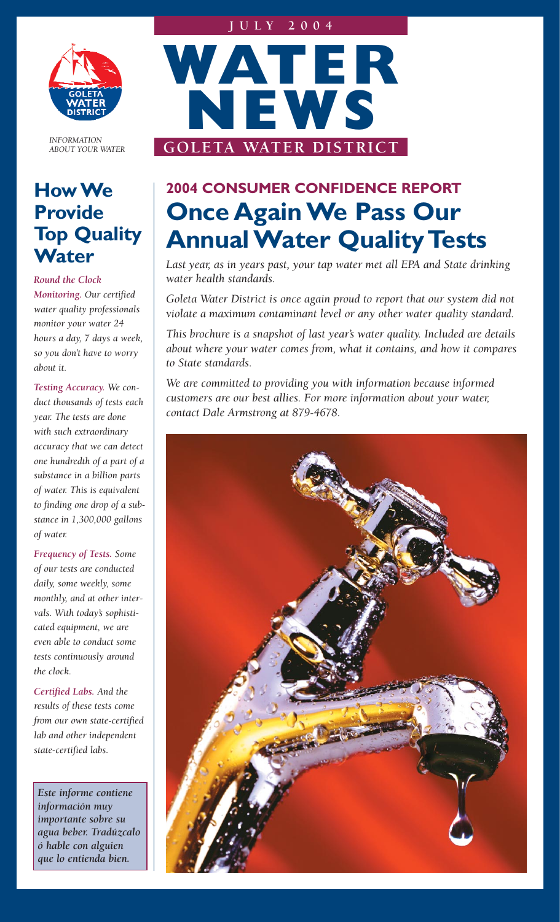

*INFORMATION ABOUT YOUR WATER*

# **How We Provide Top Quality Water**

*Round the Clock*

*Monitoring. Our certified water quality professionals monitor your water 24 hours a day, 7 days a week, so you don't have to worry about it.*

*Testing Accuracy. We conduct thousands of tests each year. The tests are done with such extraordinary accuracy that we can detect one hundredth of a part of a substance in a billion parts of water. This is equivalent to finding one drop of a substance in 1,300,000 gallons of water.*

*Frequency of Tests. Some of our tests are conducted daily, some weekly, some monthly, and at other intervals. With today's sophisticated equipment, we are even able to conduct some tests continuously around the clock.*

*Certified Labs. And the results of these tests come from our own state-certified lab and other independent state-certified labs.*

*Este informe contiene información muy importante sobre su agua beber. Tradúzcalo ó hable con alguien que lo entienda bien.*



# **2004 CONSUMER CONFIDENCE REPORT Once Again We Pass Our Annual Water Quality Tests**

*Last year, as in years past, your tap water met all EPA and State drinking water health standards.* 

*Goleta Water District is once again proud to report that our system did not violate a maximum contaminant level or any other water quality standard.* 

*This brochure is a snapshot of last year's water quality. Included are details about where your water comes from, what it contains, and how it compares to State standards.* 

*We are committed to providing you with information because informed customers are our best allies. For more information about your water, contact Dale Armstrong at 879-4678.*

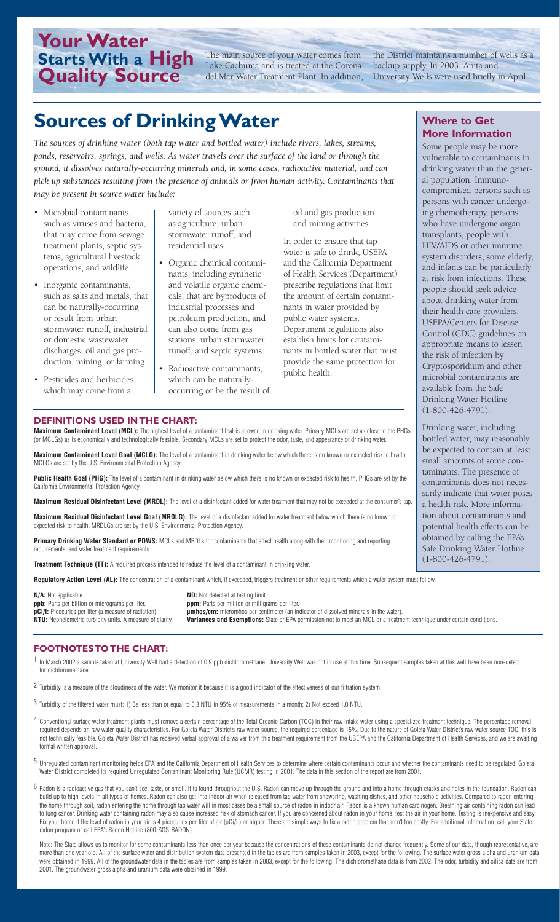# **Your Water Starts With a High Quality Source**

The main source of your water comes from Lake Cachuma and is treated at the Corona del Mar Water Treatment Plant. In addition,

the District maintains a number of wells as a backup supply. In 2003, Anita and University Wells were used briefly in April.

# **Sources of Drinking Water**

*The sources of drinking water (both tap water and bottled water) include rivers, lakes, streams, ponds, reservoirs, springs, and wells. As water travels over the surface of the land or through the ground, it dissolves naturally-occurring minerals and, in some cases, radioactive material, and can pick up substances resulting from the presence of animals or from human activity. Contaminants that may be present in source water include:*

- Microbial contaminants, such as viruses and bacteria, that may come from sewage treatment plants, septic systems, agricultural livestock operations, and wildlife.
- Inorganic contaminants, such as salts and metals, that can be naturally-occurring or result from urban stormwater runoff, industrial or domestic wastewater discharges, oil and gas production, mining, or farming.
- Pesticides and herbicides, which may come from a

variety of sources such as agriculture, urban stormwater runoff, and residential uses.

- Organic chemical contaminants, including synthetic and volatile organic chemicals, that are byproducts of industrial processes and petroleum production, and can also come from gas stations, urban stormwater runoff, and septic systems.
- Radioactive contaminants, which can be naturallyoccurring or be the result of

oil and gas production and mining activities.

In order to ensure that tap water is safe to drink, USEPA and the California Department of Health Services (Department) prescribe regulations that limit the amount of certain contaminants in water provided by public water systems. Department regulations also establish limits for contaminants in bottled water that must provide the same protection for public health.

### **Where to Get More Information**

Some people may be more vulnerable to contaminants in drinking water than the general population. Immunocompromised persons such as persons with cancer undergoing chemotherapy, persons who have undergone organ transplants, people with HIV/AIDS or other immune system disorders, some elderly, and infants can be particularly at risk from infections. These people should seek advice about drinking water from their health care providers. USEPA/Centers for Disease Control (CDC) guidelines on appropriate means to lessen the risk of infection by Cryptosporidium and other microbial contaminants are available from the Safe Drinking Water Hotline (1-800-426-4791).

Drinking water, including bottled water, may reasonably be expected to contain at least small amounts of some contaminants. The presence of contaminants does not necessarily indicate that water poses a health risk. More information about contaminants and potential health effects can be obtained by calling the EPA's Safe Drinking Water Hotline (1-800-426-4791).

#### **DEFINITIONS USED IN THE CHART:**

**Maximum Contaminant Level (MCL):** The highest level of a contaminant that is allowed in drinking water. Primary MCLs are set as close to the PHGs (or MCLGs) as is economically and technologically feasible. Secondary MCLs are set to protect the odor, taste, and appearance of drinking water.

**Maximum Contaminant Level Goal (MCLG):** The level of a contaminant in drinking water below which there is no known or expected risk to health. MCLGs are set by the U.S. Environmental Protection Agency.

**Public Health Goal (PHG):** The level of a contaminant in drinking water below which there is no known or expected risk to health. PHGs are set by the California Environmental Protection Agency.

**Maximum Residual Disinfectant Level (MRDL):** The level of a disinfectant added for water treatment that may not be exceeded at the consumer's tap.

**Maximum Residual Disinfectant Level Goal (MRDLG):** The level of a disinfectant added for water treatment below which there is no known or expected risk to health. MRDLGs are set by the U.S. Environmental Protection Agency.

**Primary Drinking Water Standard or PDWS:** MCLs and MRDLs for contaminants that affect health along with their monitoring and reporting requirements, and water treatment requirements.

**Treatment Technique (TT):** A required process intended to reduce the level of a contaminant in drinking water.

Regulatory Action Level (AL): The concentration of a contaminant which, if exceeded, triggers treatment or other requirements which a water system must follow

**N/A:** Not applicable. **ND:** Not detected at testing limit. **ppb:** Parts per billion or micrograms per liter. **ppm:** Parts per million or milligrams per liter.<br>**pCi/l:** Picocuries per liter (a measure of radiation) **prices provident** micromhos per centimeter (an in

**pCi/l:** Picocuries per liter (a measure of radiation) **primics/cm:** micromhos per centimeter (an indicator of dissolved minerals in the water).<br>NTU: Nephelometric turbidity units. A measure of clarity. Variances and Exemp Variances and Exemptions: State or EPA permission not to meet an MCL or a treatment technique under certain conditions.

#### **FOOTNOTES TO THE CHART:**

1 In March 2002 a sample taken at University Well had a detection of 0.9 ppb dichloromethane. University Well was not in use at this time. Subsequent samples taken at this well have been non-detect for dichloromethane.

- $2$  Turbidity is a measure of the cloudiness of the water. We monitor it because it is a good indicator of the effectiveness of our filtration system.
- 3 Turbidity of the filtered water must: 1) Be less than or equal to 0.3 NTU in 95% of measurements in a month; 2) Not exceed 1.0 NTU.
- 4 Conventional surface water treatment plants must remove a certain percentage of the Total Organic Carbon (TOC) in their raw intake water using a specialized treatment technique. The percentage removal required depends on raw water quality characteristics. For Goleta Water District's raw water source, the required percentage is 15%. Due to the nature of Goleta Water District's raw water source TOC, this is not technically feasible. Goleta Water District has received verbal approval of a waiver from this treatment requirement from the USEPA and the California Department of Health Services, and we are awaiting formal written approval.
- 5 Unregulated contaminant monitoring helps EPA and the California Department of Health Services to determine where certain contaminants occur and whether the contaminants need to be regulated. Goleta Water District completed its required Unregulated Contaminant Monitoring Rule (UCMR) testing in 2001. The data in this section of the report are from 2001.
- $6$  Radon is a radioactive gas that you can't see, taste, or smell. It is found throughout the U.S. Radon can move up through the ground and into a home through cracks and holes in the foundation. Radon can build up to high levels in all types of homes. Radon can also get into indoor air when released from tap water from showering, washing dishes, and other household activities. Compared to radon entering the home through soil, radon entering the home through tap water will in most cases be a small source of radon in indoor air. Radon is a known human carcinogen. Breathing air containing radon can lead to lung cancer. Drinking water containing radon may also cause increased risk of stomach cancer. If you are concerned about radon in your home, test the air in your home. Testing is inexpensive and easy. Fix your home if the level of radon in your air is 4 picocuries per liter of air (pCi/L) or higher. There are simple ways to fix a radon problem that aren't too costly. For additional information, call your State radon program or call EPA's Radon Hotline (800-SOS-RADON).

Note: The State allows us to monitor for some contaminants less than once per year because the concentrations of these contaminants do not change frequently. Some of our data, though representative, are more than one year old. All of the surface water and distribution system data presented in the tables are from samples taken in 2003, except for the following. The surface water gross alpha and uranium data were obtained in 1999. All of the groundwater data in the tables are from samples taken in 2003, except for the following. The dichloromethane data is from 2002. The odor, turbidity and silica data are from every between t 2001. The groundwater gross alpha and uranium data were obtained in 1999.